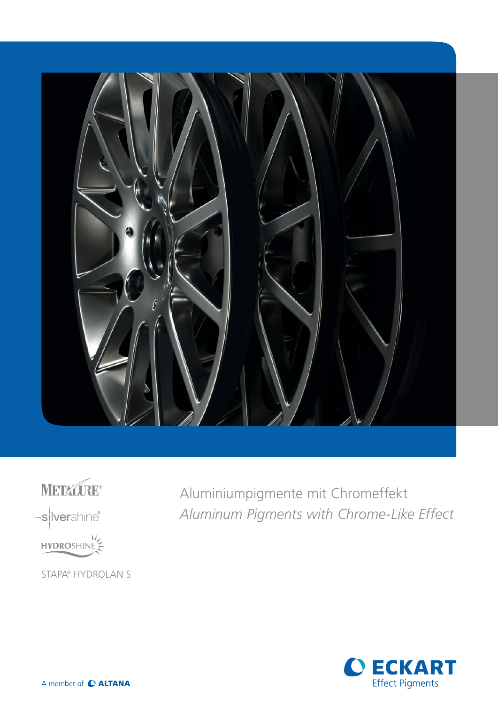

METALGE® -silvershine® HYDROSHINE STAPA® HYDROLAN S

Aluminiumpigmente mit Chromeffekt *Aluminum Pigments with Chrome-Like Effect*

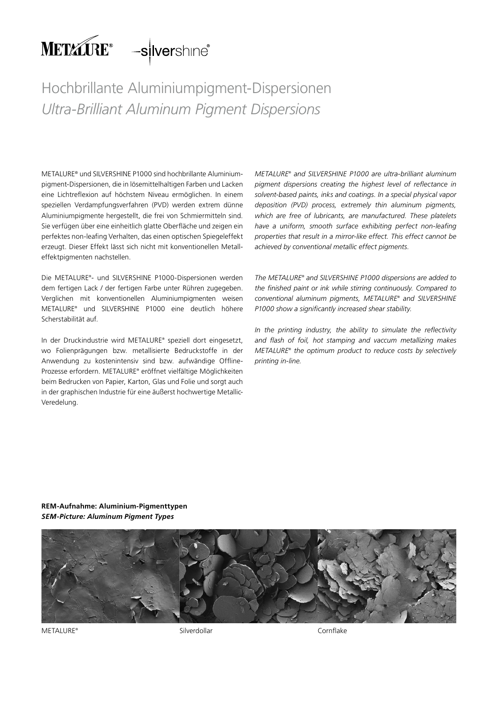# METAURE<sup>®</sup> -silvershine<sup>®</sup>

## Hochbrillante Aluminiumpigment-Dispersionen *Ultra-Brilliant Aluminum Pigment Dispersions*

METALURE® und SILVERSHINE P1000 sind hochbrillante Aluminiumpigment-Dispersionen, die in lösemittelhaltigen Farben und Lacken eine Lichtreflexion auf höchstem Niveau ermöglichen. In einem speziellen Verdampfungsverfahren (PVD) werden extrem dünne Aluminiumpigmente hergestellt, die frei von Schmiermitteln sind. Sie verfügen über eine einheitlich glatte Oberfläche und zeigen ein perfektes non-leafing Verhalten, das einen optischen Spiegeleffekt erzeugt. Dieser Effekt lässt sich nicht mit konventionellen Metalleffektpigmenten nachstellen.

Die METALURE® - und SILVERSHINE P1000-Dispersionen werden dem fertigen Lack / der fertigen Farbe unter Rühren zugegeben. Verglichen mit konventionellen Aluminiumpigmenten weisen METALURE® und SILVERSHINE P1000 eine deutlich höhere Scherstabilität auf.

In der Druckindustrie wird METALURE® speziell dort eingesetzt, wo Folienprägungen bzw. metallisierte Bedruckstoffe in der Anwendung zu kostenintensiv sind bzw. aufwändige Offline-Prozesse erfordern. METALURE® eröffnet vielfältige Möglichkeiten beim Bedrucken von Papier, Karton, Glas und Folie und sorgt auch in der graphischen Industrie für eine äußerst hochwertige Metallic-Veredelung.

*METALURE® and SILVERSHINE P1000 are ultra-brilliant aluminum pigment dispersions creating the highest level of reflectance in solvent-based paints, inks and coatings. In a special physical vapor deposition (PVD) process, extremely thin aluminum pigments, which are free of lubricants, are manufactured. These platelets have a uniform, smooth surface exhibiting perfect non-leafing properties that result in a mirror-like effect. This effect cannot be achieved by conventional metallic effect pigments.*

*The METALURE® and SILVERSHINE P1000 dispersions are added to the finished paint or ink while stirring continuously. Compared to conventional aluminum pigments, METALURE® and SILVERSHINE P1000 show a significantly increased shear stability.*

*In the printing industry, the ability to simulate the reflectivity and flash of foil, hot stamping and vaccum metallizing makes METALURE® the optimum product to reduce costs by selectively printing in-line.*

### **REM-Aufnahme: Aluminium-Pigmenttypen** *SEM-Picture: Aluminum Pigment Types*



METALURE® Silverdollar Cornflake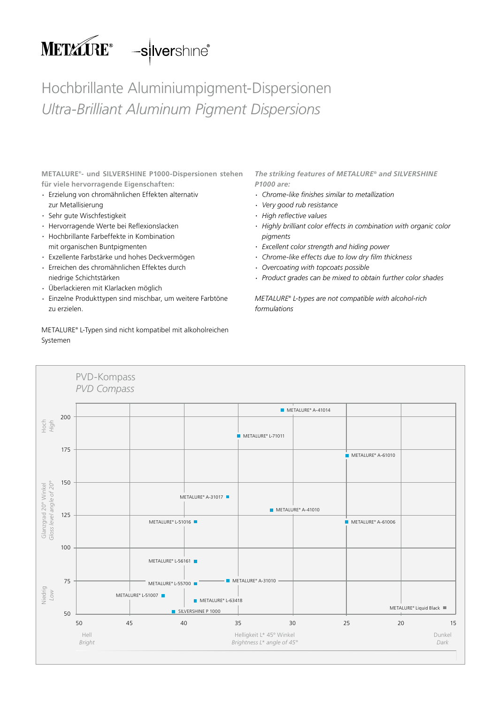

Hochbrillante Aluminiumpigment-Dispersionen *Ultra-Brilliant Aluminum Pigment Dispersions*

**METALURE® - und SILVERSHINE P1000-Dispersionen stehen für viele hervorragende Eigenschaften:**

- · Erzielung von chromähnlichen Effekten alternativ zur Metallisierung
- · Sehr gute Wischfestigkeit
- · Hervorragende Werte bei Reflexionslacken
- · Hochbrillante Farbeffekte in Kombination mit organischen Buntpigmenten
- · Exzellente Farbstärke und hohes Deckvermögen
- · Erreichen des chromähnlichen Effektes durch niedrige Schichtstärken
- · Überlackieren mit Klarlacken möglich
- · Einzelne Produkttypen sind mischbar, um weitere Farbtöne zu erzielen.

METALURE® L-Typen sind nicht kompatibel mit alkoholreichen Systemen

*The striking features of METALURE***®** *and SILVERSHINE P1000 are:*

- · *Chrome-like fi nishes similar to metallization*
- · *Very good rub resistance*
- $\cdot$  *High reflective values*
- · *Highly brilliant color effects in combination with organic color pigments*
- · *Excellent color strength and hiding power*
- · *Chrome-like effects due to low dry fi lm thickness*
- · *Overcoating with topcoats possible*
- · *Product grades can be mixed to obtain further color shades*

*METALURE® L-types are not compatible with alcohol-rich formulations*

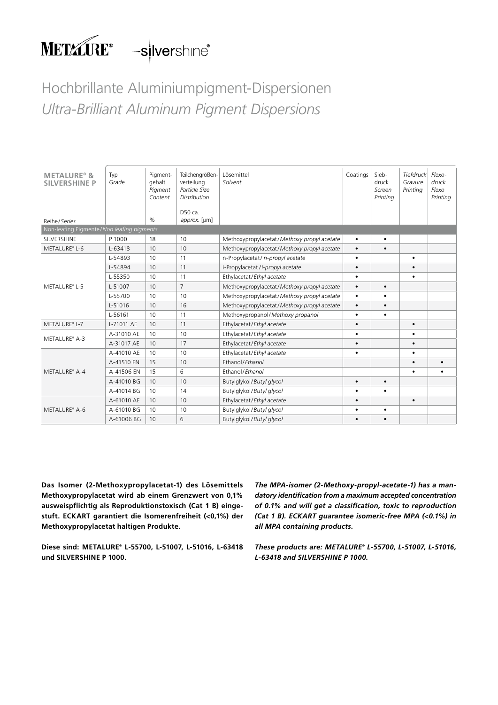

## Hochbrillante Aluminiumpigment-Dispersionen *Ultra-Brilliant Aluminum Pigment Dispersions*

| <b>METALURE<sup>®</sup> &amp;</b><br><b>SILVERSHINE P</b> | Typ<br>Grade | Pigment-<br>gehalt<br>Pigment<br>Content | Teilchengrößen-<br>verteilung<br>Particle Size<br><b>Distribution</b> | Lösemittel<br>Solvent                      | Coatings  | Sieb-<br>druck<br>Screen<br>Printing | Tiefdruck<br>Gravure<br>Printing | Flexo-<br>druck<br>Flexo<br>Printing |
|-----------------------------------------------------------|--------------|------------------------------------------|-----------------------------------------------------------------------|--------------------------------------------|-----------|--------------------------------------|----------------------------------|--------------------------------------|
|                                                           |              |                                          | D50 ca.                                                               |                                            |           |                                      |                                  |                                      |
| Reihe/Series                                              |              | $\%$                                     | approx. [µm]                                                          |                                            |           |                                      |                                  |                                      |
| Non-leafing Pigmente/Non leafing pigments                 |              |                                          |                                                                       |                                            |           |                                      |                                  |                                      |
| SILVERSHINE                                               | P 1000       | 18                                       | 10                                                                    | Methoxypropylacetat/Methoxy propyl acetate | $\bullet$ | ٠                                    |                                  |                                      |
| METALURE® L-6                                             | L-63418      | 10                                       | 10                                                                    | Methoxypropylacetat/Methoxy propyl acetate | $\bullet$ | $\bullet$                            |                                  |                                      |
|                                                           | L-54893      | 10                                       | 11                                                                    | n-Propylacetat/ n-propyl acetate           | $\bullet$ |                                      | $\bullet$                        |                                      |
| METALURE® L-5                                             | L-54894      | 10                                       | 11                                                                    | i-Propylacetat /i-propyl acetate           | $\bullet$ |                                      | $\bullet$                        |                                      |
|                                                           | L-55350      | 10                                       | 11                                                                    | Ethylacetat/Ethyl acetate                  | $\bullet$ |                                      | $\bullet$                        |                                      |
|                                                           | L-51007      | 10                                       | $\overline{7}$                                                        | Methoxypropylacetat/Methoxy propyl acetate | $\bullet$ | $\bullet$                            |                                  |                                      |
|                                                           | L-55700      | 10                                       | 10                                                                    | Methoxypropylacetat/Methoxy propyl acetate | $\bullet$ | ٠                                    |                                  |                                      |
|                                                           | L-51016      | 10 <sup>°</sup>                          | 16                                                                    | Methoxypropylacetat/Methoxy propyl acetate | $\bullet$ | $\bullet$                            |                                  |                                      |
|                                                           | L-56161      | 10                                       | 11                                                                    | Methoxypropanol/Methoxy propanol           | $\bullet$ | ٠                                    |                                  |                                      |
| METALURE® L-7                                             | L-71011 AE   | 10 <sup>°</sup>                          | 11                                                                    | Ethylacetat/Ethyl acetate                  | $\bullet$ |                                      | $\bullet$                        |                                      |
| METALURE® A-3                                             | A-31010 AE   | 10                                       | 10                                                                    | Ethylacetat/Ethyl acetate                  | $\bullet$ |                                      |                                  |                                      |
|                                                           | A-31017 AE   | 10                                       | 17                                                                    | Ethylacetat/Ethyl acetate                  | $\bullet$ |                                      | $\bullet$                        |                                      |
|                                                           | A-41010 AE   | 10                                       | 10                                                                    | Ethylacetat/Ethyl acetate                  | $\bullet$ |                                      | $\bullet$                        |                                      |
|                                                           | A-41510 EN   | 15                                       | 10                                                                    | Ethanol/Ethanol                            |           |                                      | $\bullet$                        |                                      |
| METALURE® A-4                                             | A-41506 EN   | 15                                       | 6                                                                     | Ethanol/Ethanol                            |           |                                      |                                  |                                      |
|                                                           | A-41010 BG   | 10 <sup>°</sup>                          | 10                                                                    | Butylglykol/Butyl glycol                   | $\bullet$ | $\bullet$                            |                                  |                                      |
|                                                           | A-41014 BG   | 10                                       | 14                                                                    | Butylglykol/Butyl glycol                   | $\bullet$ | ٠                                    |                                  |                                      |
|                                                           | A-61010 AE   | 10                                       | 10                                                                    | Ethylacetat/Ethyl acetate                  | $\bullet$ |                                      | $\bullet$                        |                                      |
| METALURE® A-6                                             | A-61010 BG   | 10                                       | 10                                                                    | Butylglykol/Butyl glycol                   | $\bullet$ | ٠                                    |                                  |                                      |
|                                                           | A-61006 BG   | 10                                       | 6                                                                     | Butylglykol/Butyl glycol                   |           | $\bullet$                            |                                  |                                      |

**Das Isomer (2-Methoxypropylacetat-1) des Lösemittels Methoxypropylacetat wird ab einem Grenzwert von 0,1% ausweispflichtig als Reproduktionstoxisch (Cat 1 B) eingestuft. ECKART garantiert die Isomerenfreiheit (<0,1%) der Methoxypropylacetat haltigen Produkte.** 

**Diese sind: METALURE® L-55700, L-51007, L-51016, L-63418 und SILVERSHINE P 1000.**

*The MPA-isomer (2-Methoxy-propyl-acetate-1) has a mandatory identification from a maximum accepted concentration of 0.1% and will get a classification, toxic to reproduction (Cat 1 B). ECKART guarantee isomeric-free MPA (<0.1%) in all MPA containing products.* 

*These products are: METALURE® L-55700, L-51007, L-51016, L-63418 and SILVERSHINE P 1000.*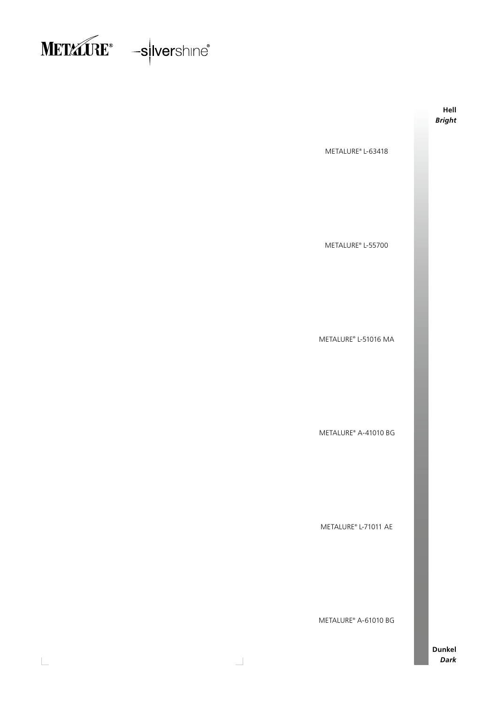



 $\overline{\phantom{a}}$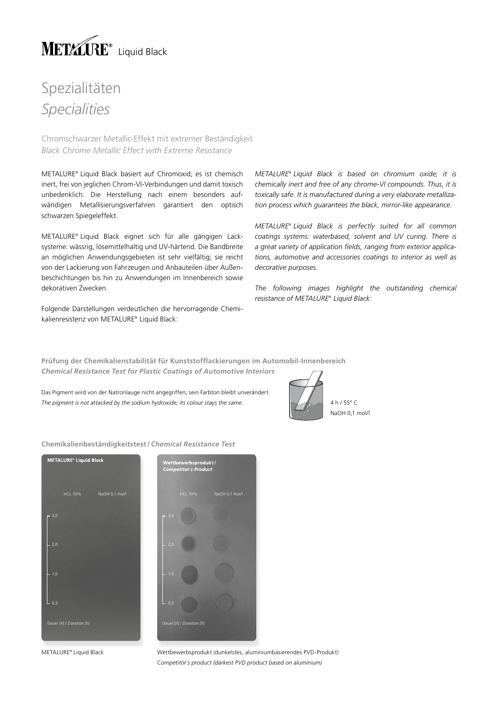

Chromschwarzer Metallic-Effekt mit extremer Beständigkeit *Black Chrome Metallic Effect with Extreme Resistance* 

METALURE® Liquid Black basiert auf Chromoxid; es ist chemisch inert, frei von jeglichen Chrom-VI-Verbindungen und damit toxisch unbedenklich. Die Herstellung nach einem besonders aufwändigen Metallisierungsverfahren garantiert den optisch schwarzen Spiegeleffekt.

METALURE® Liquid Black eignet sich für alle gängigen Lacksysteme: wässrig, lösemittelhaltig und UV-härtend. Die Bandbreite an möglichen Anwendungsgebieten ist sehr vielfältig; sie reicht von der Lackierung von Fahrzeugen und Anbauteilen über Außenbeschichtungen bis hin zu Anwendungen im Innenbereich sowie dekorativen Zwecken.

Folgende Darstellungen verdeutlichen die hervorragende Chemikalien resistenz von METALURE® Liquid Black:

*METALURE® Liquid Black is based on chromium oxide; it is chemically inert and free of any chrome-VI compounds. Thus, it is toxically safe. It is manufactured during a very elaborate metallization process which guarantees the black, mirror-like appearance.* 

*METALURE® Liquid Black is perfectly suited for all common coatings systems: waterbased, solvent and UV curing. There is*  a great variety of application fields, ranging from exterior applica*tions, automotive and accessories coatings to interior as well as decorative purposes.*

*The following images highlight the outstanding chemical resistance of METALURE® Liquid Black:*

**Prüfung der Chemikalienstabilität für Kunststoffl ackierungen im Automobil-Innenbereich** *Chemical Resistance Test for Plastic Coatings of Automotive Interiors*

Das Pigment wird von der Natronlauge nicht angegriffen; sein Farbton bleibt unverändert. The pigment is not attacked by the sodium hydroxide; its colour stays the same. 4 **4 h / 55° C** 4 h / 55° C



**Chemikalienbeständigkeitstest /** *Chemical Resistance Test*



HCL 10% NaOH 0,1 mol/l

METALURE® Liquid Black

Wettbewerbsprodukt (dunkelstes, aluminiumbasierendes PVD-Produkt) C*ompetitor´s product (darkest PVD product based on aluminium)*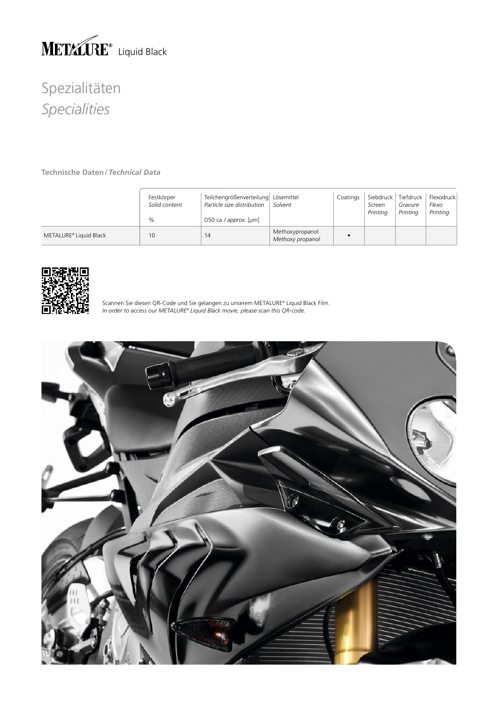

**Technische Daten/***Technical Data*

|                        | Festkörper<br>Solid content<br>$\%$ | Teilchengrößenverteilung Lösemittel<br>Particle size distribution<br>D50 ca./approx. [µm] | Solvent                             | Coatings | Siebdruck<br>Screen<br>Printing | Tiefdruck<br>Gravure<br>Printing | Flexodruck<br>Flexo<br>Printing |
|------------------------|-------------------------------------|-------------------------------------------------------------------------------------------|-------------------------------------|----------|---------------------------------|----------------------------------|---------------------------------|
| METALURE® Liquid Black | 10                                  | 14                                                                                        | Methoxypropanol<br>Methoxy propanol |          |                                 |                                  |                                 |



Scannen Sie diesen QR-Code und Sie gelangen zu unserem METALURE® Liquid Black Film. *In order to access our METALURE® Liquid Black movie, please scan this QR-code.*

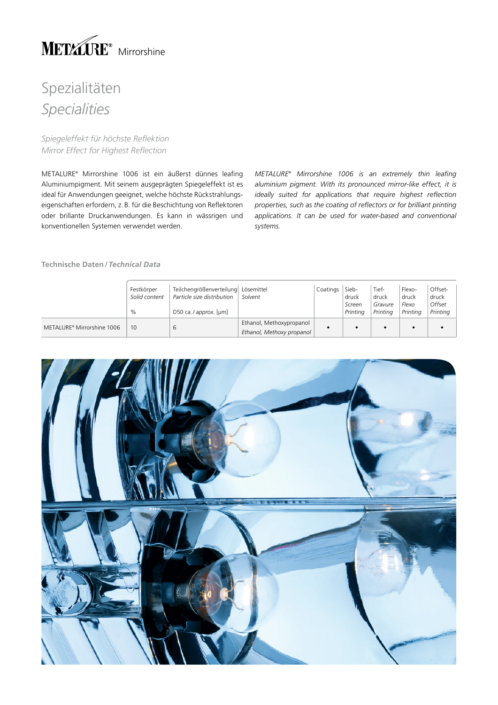

*Spiegeleffekt für höchste Reflektion Mirror Effect for Highest Reflection*

METALURE® Mirrorshine 1006 ist ein äußerst dünnes leafing Aluminiumpigment. Mit seinem ausgeprägten Spiegeleffekt ist es ideal für Anwendungen geeignet, welche höchste Rückstrahlungseigenschaften erfordern, z.B. für die Beschichtung von Reflektoren oder brillante Druckanwendungen. Es kann in wässrigen und konventionellen Systemen verwendet werden.

*METALURE® Mirrorshine 1006 is an extremely thin leafing aluminium pigment. With its pronounced mirror-like effect, it is ideally suited for applications that require highest reflection properties, such as the coating of reflectors or for brilliant printing applications. It can be used for water-based and conventional systems.*

### **Technische Daten/***Technical Data*

|                            | Festkörper<br>Solid content<br>$\%$ | Teilchengrößenverteilung Lösemittel<br>Particle size distribution<br>D50 ca./ approx. [µm] | Solvent                   | Coatings | Sieb-<br>druck<br>Screen<br>Printina | Tief-<br>druck<br>Gravure<br>Printina | Flexo-<br>druck<br>Flexo<br>Printina | Offset-<br>druck<br>Offset<br>Printing |
|----------------------------|-------------------------------------|--------------------------------------------------------------------------------------------|---------------------------|----------|--------------------------------------|---------------------------------------|--------------------------------------|----------------------------------------|
| METALURE® Mirrorshine 1006 | 10                                  |                                                                                            | Ethanol, Methoxypropanol  |          |                                      |                                       |                                      |                                        |
|                            |                                     | b                                                                                          | Ethanol, Methoxy propanol |          |                                      |                                       |                                      |                                        |

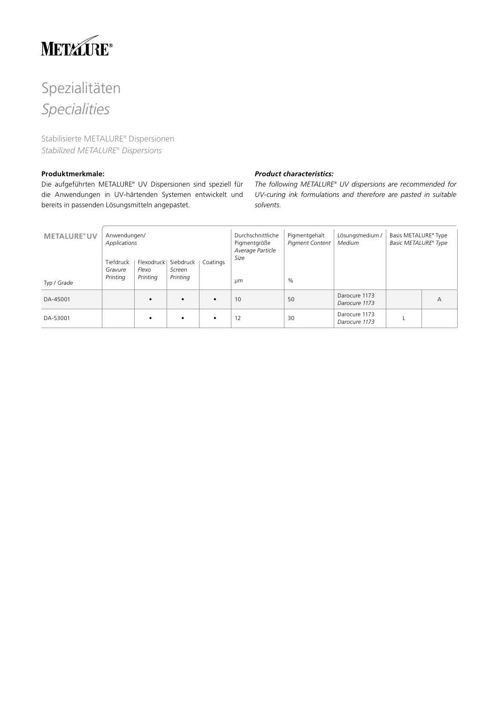

Stabilisierte METALURE® Dispersionen *Stabilized METALURE® Dispersions*

### **Produktmerkmale:**

Die aufgeführten METALURE® UV Dispersionen sind speziell für die Anwendungen in UV-härtenden Systemen entwickelt und bereits in passenden Lösungsmitteln angepastet.

### *Product characteristics:*

*The following METALURE® UV dispersions are recommended for UV-curing ink formulations and therefore are pasted in suitable solvents.*

| <b>METALURE®UV</b><br>Typ / Grade | Anwendungen/<br>Applications<br>Tiefdruck<br>Gravure<br>Printing | Flexodruck<br>Flexo<br>Printing | Siebdruck<br>Screen<br>Printing | Coatings  | Durchschnittliche<br>Pigmentgröße<br>Average Particle<br>Size<br>μm | Pigmentgehalt<br><b>Pigment Content</b><br>$\%$ | Lösungsmedium /<br>Medium      | Basis METALURE® Type<br>Basic METALURE® Type |   |
|-----------------------------------|------------------------------------------------------------------|---------------------------------|---------------------------------|-----------|---------------------------------------------------------------------|-------------------------------------------------|--------------------------------|----------------------------------------------|---|
| DA-45001                          |                                                                  | $\bullet$                       | $\bullet$                       | $\bullet$ | 10                                                                  | 50                                              | Darocure 1173<br>Darocure 1173 |                                              | A |
| DA-53001                          |                                                                  | $\bullet$                       | $\bullet$                       | $\bullet$ | 12                                                                  | 30                                              | Darocure 1173<br>Darocure 1173 |                                              |   |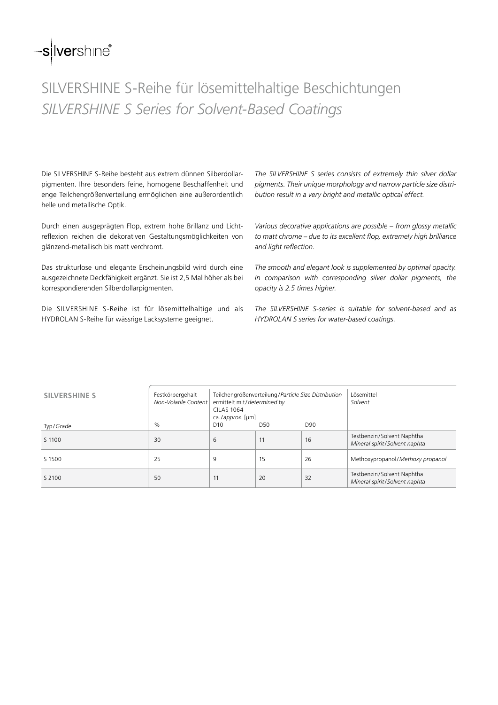## -silvershine<sup>®</sup>

## SILVERSHINE S-Reihe für lösemittelhaltige Beschichtungen *SILVERSHINE S Series for Solvent-Based Coatings*

Die SILVERSHINE S-Reihe besteht aus extrem dünnen Silberdollarpigmenten. Ihre besonders feine, homogene Beschaffenheit und enge Teilchengrößenverteilung ermöglichen eine außerordentlich helle und metallische Optik.

Durch einen ausgeprägten Flop, extrem hohe Brillanz und Lichtreflexion reichen die dekorativen Gestaltungsmöglichkeiten von glänzend-metallisch bis matt verchromt.

Das strukturlose und elegante Erscheinungsbild wird durch eine ausgezeichnete Deckfähigkeit ergänzt. Sie ist 2,5 Mal höher als bei korrespondierenden Silberdollarpigmenten.

Die SILVERSHINE S-Reihe ist für lösemittelhaltige und als HYDROLAN S-Reihe für wässrige Lacksysteme geeignet.

*The SILVERSHINE S series consists of extremely thin silver dollar pigments. Their unique morphology and narrow particle size distribution result in a very bright and metallic optical effect.*

*Various decorative applications are possible – from glossy metallic to matt chrome – due to its excellent flop, extremely high brilliance and light reflection.*

*The smooth and elegant look is supplemented by optimal opacity. In comparison with corresponding silver dollar pigments, the opacity is 2.5 times higher.*

*The SILVERSHINE S-series is suitable for solvent-based and as HYDROLAN S series for water-based coatings.*

| <b>SILVERSHINE S</b> | Festkörpergehalt<br>Non-Volatile Content | ermittelt mit/determined by<br><b>CILAS 1064</b><br>ca./approx. [µm] | Teilchengrößenverteilung/Particle Size Distribution | Lösemittel<br>Solvent |                                                             |
|----------------------|------------------------------------------|----------------------------------------------------------------------|-----------------------------------------------------|-----------------------|-------------------------------------------------------------|
| Typ/Grade            | $\%$                                     | D <sub>10</sub>                                                      | D50                                                 | D90                   |                                                             |
| S 1100               | 30                                       | 6                                                                    | 11                                                  | 16                    | Testbenzin/Solvent Naphtha<br>Mineral spirit/Solvent naphta |
| S 1500               | 25                                       | 9                                                                    | 15                                                  | 26                    | Methoxypropanol/Methoxy propanol                            |
| S 2100               | 50                                       | 11                                                                   | 20                                                  | 32                    | Testbenzin/Solvent Naphtha<br>Mineral spirit/Solvent naphta |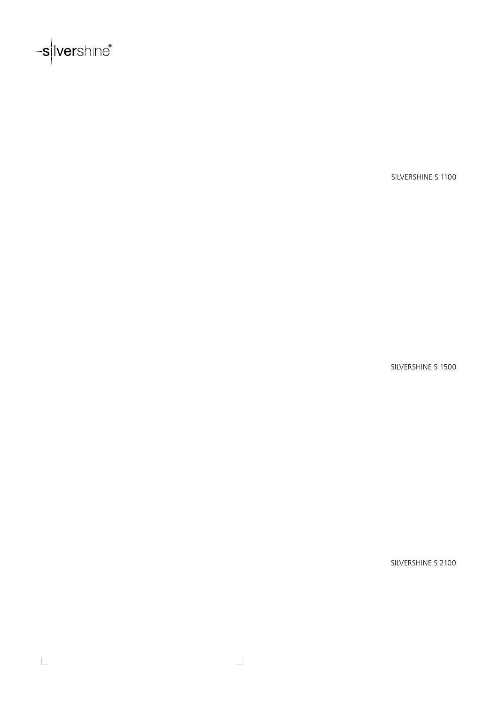

 $\overline{\phantom{a}}$ 

SILVERSHINE S 1100

SILVERSHINE S 1500

SILVERSHINE S 2100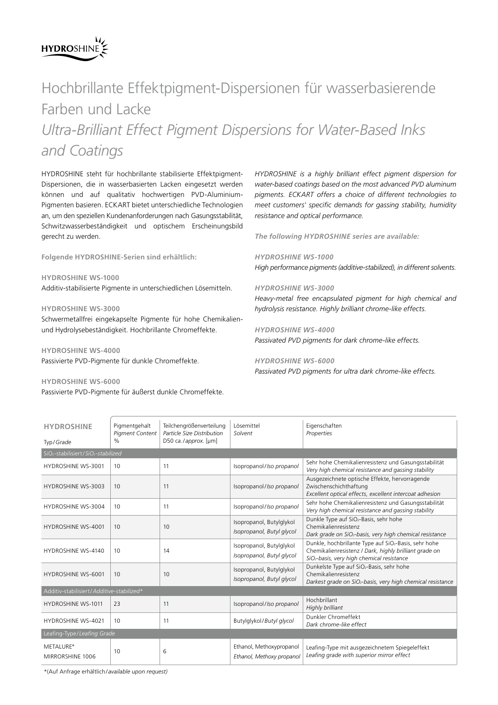## **HYDROSHINE**

## Hochbrillante Effektpigment-Dispersionen für wasserbasierende Farben und Lacke

*Ultra-Brilliant Effect Pigment Dispersions for Water-Based Inks and Coatings*

HYDROSHINE steht für hochbrillante stabilisierte Effektpigment-Dispersionen, die in wasserbasierten Lacken eingesetzt werden können und auf qualitativ hochwertigen PVD-Aluminium-Pigmenten basieren. ECKART bietet unterschiedliche Technologien an, um den speziellen Kundenanforderungen nach Gasungsstabilität, Schwitzwasserbeständigkeit und optischem Erscheinungsbild gerecht zu werden.

**Folgende HYDROSHINE-Serien sind erhältlich:**

**HYDROSHINE WS-1000** Additiv-stabilisierte Pigmente in unterschiedlichen Lösemitteln.

### **HYDROSHINE WS-3000**

Schwermetallfrei eingekapselte Pigmente für hohe Chemikalienund Hydrolysebeständigkeit. Hochbrillante Chromeffekte.

**HYDROSHINE WS-4000** Passivierte PVD-Pigmente für dunkle Chromeffekte.

### **HYDROSHINE WS-6000**

Passivierte PVD-Pigmente für äußerst dunkle Chromeffekte.

*HYDROSHINE is a highly brilliant effect pigment dispersion for water-based coatings based on the most advanced PVD aluminum pigments. ECKART offers a choice of different technologies to meet customers' specific demands for gassing stability, humidity resistance and optical performance.*

*The following HYDROSHINE series are available:*

*HYDROSHINE WS-1000 High performance pigments (additive-stabilized), in different solvents.* 

### *HYDROSHINE WS-3000*

*Heavy-metal free encapsulated pigment for high chemical and hydrolysis resistance. Highly brilliant chrome-like effects.*

*HYDROSHINE WS-4000 Passivated PVD pigments for dark chrome-like effects.*

### *HYDROSHINE WS-6000 Passivated PVD pigments for ultra dark chrome-like effects.*

| <b>HYDROSHINE</b><br>Typ/Grade                              | Pigmentgehalt<br><b>Pigment Content</b><br>$\frac{0}{n}$ | Teilchengrößenverteilung<br>Particle Size Distribution<br>D50 ca./approx. [µm] | Lösemittel<br>Solvent                                 | Eigenschaften<br>Properties                                                                                                                                                           |  |  |  |  |
|-------------------------------------------------------------|----------------------------------------------------------|--------------------------------------------------------------------------------|-------------------------------------------------------|---------------------------------------------------------------------------------------------------------------------------------------------------------------------------------------|--|--|--|--|
| SiO <sub>2</sub> -stabilisiert/SiO <sub>2</sub> -stabilized |                                                          |                                                                                |                                                       |                                                                                                                                                                                       |  |  |  |  |
| <b>HYDROSHINE WS-3001</b>                                   | 10                                                       | 11                                                                             | Isopropanol/Iso propanol                              | Sehr hohe Chemikalienresistenz und Gasungsstabilität<br>Very high chemical resistance and gassing stability                                                                           |  |  |  |  |
| <b>HYDROSHINE WS-3003</b>                                   | 10                                                       | 11                                                                             | Isopropanol/Iso propanol                              | Ausgezeichnete optische Effekte, hervorragende<br>Zwischenschichthaftung<br>Excellent optical effects, excellent intercoat adhesion                                                   |  |  |  |  |
| HYDROSHINE WS-3004                                          | 10                                                       | 11                                                                             | Isopropanol/Iso propanol                              | Sehr hohe Chemikalienresistenz und Gasungsstabilität<br>Very high chemical resistance and gassing stability                                                                           |  |  |  |  |
| <b>HYDROSHINE WS-4001</b>                                   | 10                                                       | 10                                                                             | Isopropanol, Butylglykol<br>Isopropanol, Butyl glycol | Dunkle Type auf SiO <sub>2</sub> -Basis, sehr hohe<br>Chemikalienresistenz<br>Dark grade on SiO <sub>2</sub> -basis, very high chemical resistance                                    |  |  |  |  |
| <b>HYDROSHINE WS-4140</b>                                   | 10                                                       | 14                                                                             | Isopropanol, Butylglykol<br>Isopropanol, Butyl glycol | Dunkle, hochbrillante Type auf SiO <sub>2</sub> -Basis, sehr hohe<br>Chemikalienresistenz / Dark, highly brilliant grade on<br>SiO <sub>2</sub> -basis, very high chemical resistance |  |  |  |  |
| <b>HYDROSHINE WS-6001</b>                                   | 10                                                       | 10                                                                             | Isopropanol, Butylglykol<br>Isopropanol, Butyl glycol | Dunkelste Type auf SiO <sub>2</sub> -Basis, sehr hohe<br>Chemikalienresistenz<br>Darkest grade on SiO <sub>2</sub> -basis, very high chemical resistance                              |  |  |  |  |
| Additiv-stabilisiert/Additive-stabilized*                   |                                                          |                                                                                |                                                       |                                                                                                                                                                                       |  |  |  |  |
| <b>HYDROSHINE WS-1011</b>                                   | 23                                                       | 11                                                                             | Isopropanol/Iso propanol                              | Hochbrillant<br>Highly brilliant                                                                                                                                                      |  |  |  |  |
| <b>HYDROSHINE WS-4021</b>                                   | 10                                                       | 11                                                                             | Butylglykol/Butyl glycol                              | Dunkler Chromeffekt<br>Dark chrome-like effect                                                                                                                                        |  |  |  |  |
| Leafing-Type/Leafing Grade                                  |                                                          |                                                                                |                                                       |                                                                                                                                                                                       |  |  |  |  |
| METALURE®<br>MIRRORSHINE 1006                               | 10                                                       | 6                                                                              | Ethanol, Methoxypropanol<br>Ethanol, Methoxy propanol | Leafing-Type mit ausgezeichnetem Spiegeleffekt<br>Leafing grade with superior mirror effect                                                                                           |  |  |  |  |

\*(Auf Anfrage erhältlich/*available upon request)*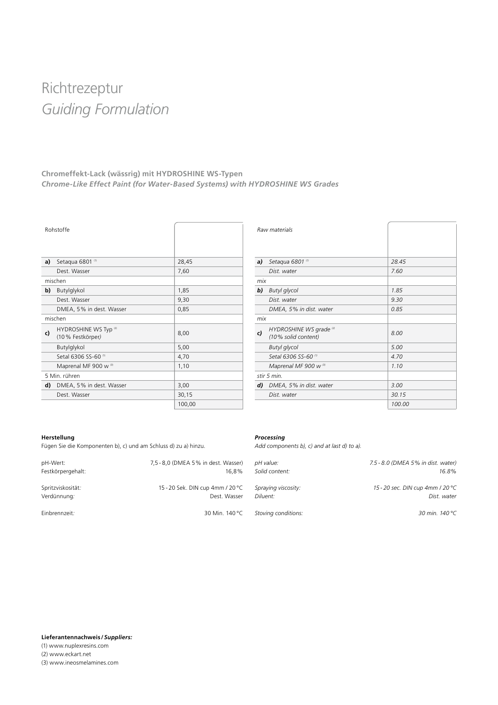## Richtrezeptur *Guiding Formulation*

### **Chromeffekt-Lack (wässrig) mit HYDROSHINE WS-Typen** *Chrome-Like Effect Paint (for Water-Based Systems) with HYDROSHINE WS Grades*

|    | Rohstoffe                                             |        |
|----|-------------------------------------------------------|--------|
| a) | Setaqua 6801 <sup>(1)</sup>                           | 28,45  |
|    | Dest. Wasser                                          | 7,60   |
|    | mischen                                               |        |
| b) | Butylglykol                                           | 1,85   |
|    | Dest. Wasser                                          | 9,30   |
|    | DMEA, 5% in dest. Wasser                              | 0,85   |
|    | mischen                                               |        |
| c) | HYDROSHINE WS Typ <sup>(2)</sup><br>(10 % Festkörper) | 8,00   |
|    | Butylglykol                                           | 5,00   |
|    | Setal 6306 SS-60 <sup>(1)</sup>                       | 4,70   |
|    | Maprenal MF 900 w (3)                                 | 1,10   |
|    | 5 Min. rühren                                         |        |
| d) | DMEA, 5% in dest. Wasser                              | 3,00   |
|    | Dest. Wasser                                          | 30,15  |
|    |                                                       | 100,00 |

|     | Raw materials                                             |        |
|-----|-----------------------------------------------------------|--------|
| a)  | Setagua 6801 (1)                                          | 28.45  |
|     | Dist. water                                               | 7.60   |
| mix |                                                           |        |
| b)  | <b>Butyl glycol</b>                                       | 1.85   |
|     | Dist. water                                               | 9.30   |
|     | DMEA, 5% in dist. water                                   | 0.85   |
| mix |                                                           |        |
| c)  | HYDROSHINE WS grade <sup>(2)</sup><br>(10% solid content) | 8.00   |
|     | <b>Butyl</b> glycol                                       | 5.00   |
|     | Setal 6306 SS-60 <sup>(1)</sup>                           | 4.70   |
|     | Maprenal MF 900 w (3)                                     | 1.10   |
|     | stir 5 min.                                               |        |
| d)  | DMEA, 5% in dist. water                                   | 3.00   |
|     | Dist. water                                               | 30.15  |
|     |                                                           | 100.00 |

### **Herstellung**

Fügen Sie die Komponenten b), c) und am Schluss d) zu a) hinzu.

### *Processing*

*Add components b), c) and at last d) to a).*

| pH-Wert:          | 7,5 - 8,0 (DMEA 5% in dest. Wasser) | pH value:           | 7.5 - 8.0 (DMEA 5% in dist. water) |
|-------------------|-------------------------------------|---------------------|------------------------------------|
| Festkörpergehalt: | 16.8%                               | Solid content:      | 16.8%                              |
| Spritzviskosität: | 15 - 20 Sek. DIN cup 4mm / 20 °C    | Spraying viscosity: | 15 - 20 sec. DIN cup 4mm / 20 °C   |
| Verdünnung:       | Dest. Wasser                        | Diluent:            | Dist. water                        |
| Einbrennzeit.     | 30 Min. 140 °C                      | Stoving conditions: | 30 min. 140 °C                     |
|                   |                                     |                     |                                    |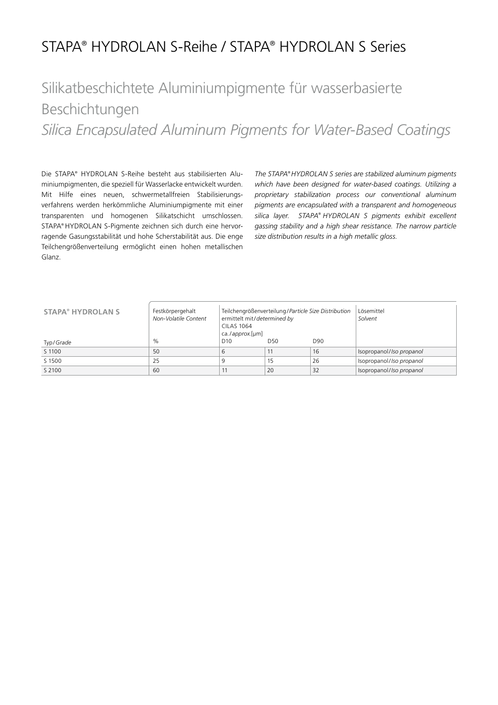### STAPA® HYDROLAN S-Reihe / STAPA® HYDROLAN S Series

## Silikatbeschichtete Aluminiumpigmente für wasserbasierte Beschichtungen

*Silica Encapsulated Aluminum Pigments for Water-Based Coatings*

Die STAPA® HYDROLAN S-Reihe besteht aus stabilisierten Aluminiumpigmenten, die speziell für Wasserlacke entwickelt wurden. Mit Hilfe eines neuen, schwermetallfreien Stabilisierungsverfahrens werden herkömmliche Aluminiumpigmente mit einer transparenten und homogenen Silikatschicht umschlossen. STAPA® HYDROLAN S-Pigmente zeichnen sich durch eine hervorragende Gasungsstabilität und hohe Scherstabilität aus. Die enge Teilchengrößenverteilung ermöglicht einen hohen metallischen Glanz.

*The STAPA® HYDROLAN S series are stabilized aluminum pigments which have been designed for water-based coatings. Utilizing a proprietary stabilization process our conventional aluminum pigments are encapsulated with a transparent and homogeneous silica layer. STAPA® HYDROLAN S pigments exhibit excellent gassing stability and a high shear resistance. The narrow particle size distribution results in a high metallic gloss.*

| <b>STAPA<sup>®</sup> HYDROLAN S</b> | Festkörpergehalt<br>Non-Volatile Content | ermittelt mit/determined by<br><b>CILAS 1064</b><br>ca./approx.[µm] | Teilchengrößenverteilung/Particle Size Distribution | Lösemittel<br>Solvent |                          |
|-------------------------------------|------------------------------------------|---------------------------------------------------------------------|-----------------------------------------------------|-----------------------|--------------------------|
| Typ/Grade                           | $\%$                                     | D10                                                                 | D50                                                 | D90                   |                          |
| S 1100                              | 50                                       | 6                                                                   |                                                     | 16                    | Isopropanol/Iso propanol |
| S 1500                              | 25                                       | 9                                                                   | 15                                                  | 26                    | Isopropanol/Iso propanol |
| S 2100                              | 60                                       |                                                                     | 20                                                  | 32                    | Isopropanol/Iso propanol |